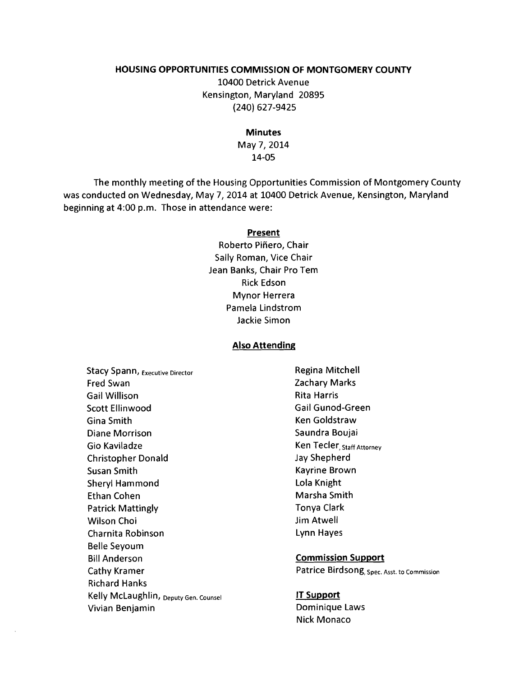#### **HOUSING OPPORTUNITIES COMMISSION OF MONTGOMERY COUNTY**

10400 Detrick Avenue Kensington, Maryland 20895 (240) 627-9425

**Minutes** 

May 7,2014 14-05

The monthly meeting of the Housing Opportunities Commission of Montgomery County was conducted on Wednesday, May 7,2014 at 10400 Detrick Avenue, Kensington, Maryland beginning at 4:00 p.m. Those in attendance were:

#### **Present**

Roberto Piñero, Chair Sally Roman, Vice Chair Jean Banks, Chair Pro Tem Rick Edson Mynor Herrera Pamela Lindstrom Jackie Simon

#### **Also Attending**

Stacy Spann, Executive Director **Regina Mitchell** Regina Mitchell Fred Swan Zachary Marks Gail Willison **Rita Harris** Scott Ellinwood Gail Gunod-Green Gina Smith **Ken** Goldstraw Diane Morrison Saundra Boujai Gio Kaviladze **Ken Tecler**, Staff Attorney Christopher Donald Jay Shepherd Susan Smith **Kayrine Brown** Sheryl Hammond Lola Knight Ethan Cohen Marsha Smith Patrick Mattingly **The Community** Tonya Clark Wilson Choi **Villet Choi** Jim Atwell Charnita Robinson Lynn Hayes Belle Seyoum Bill Anderson **Commission Support**  Richard Hanks Kelly McLaughlin, Deputy Gen. Counsel **IT Support**  Vivian Benjamin **Dominique Laws** 

Cathy Kramer **Patrice Birdsong**, Spec. Asst. to Commission

Nick Monaco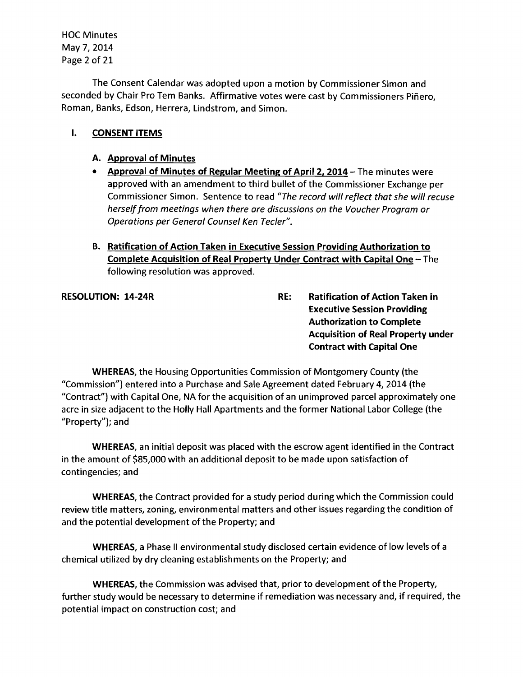HOC Minutes May 7,2014 Page 2 of 21

The Consent Calendar was adopted upon a motion by Commissioner Simon and seconded by Chair Pro Tem Banks. Affirmative votes were cast by Commissioners Piñero, Roman, Banks, Edson, Herrera, Lindstrom, and Simon.

#### I. CONSENT ITEMS

#### A. Approval of Minutes

- Approval of Minutes of Regular Meeting of April 2, 2014 The minutes were approved with an amendment to third bullet of the Commissioner Exchange per Commissioner Simon. Sentence to read *"The record will reflect that she will recuse herselffrom meetings when there are discussions on the Voucher Progrom or Operotions per Generol Counsel Ken Teeler".*
- B. Ratification of Action Taken in Executive Session Providing Authorization to Complete Acquisition of Real Property Under Contract with Capital One - The following resolution was approved.

RESOLUTION: 14-24R RESOLUTION: 14-24R Executive Session Providing Authorization to Complete Acquisition of Real Property under Contract with Capital One

WHEREAS, the Housing Opportunities Commission of Montgomery County (the "Commission") entered into a Purchase and Sale Agreement dated February 4, 2014 (the "Contract") with Capital One, NA for the acquisition of an unimproved parcel approximately one acre in size adjacent to the Holly Hall Apartments and the former National Labor College (the "Property"); and

WHEREAS, an initial deposit was placed with the escrow agent identified in the Contract in the amount of \$85,000 with an additional deposit to be made upon satisfaction of contingencies; and

WHEREAS, the Contract provided for a study period during which the Commission could review title matters, zoning, environmental matters and other issues regarding the condition of and the potential development of the Property; and

WHEREAS, a Phase II environmental study disclosed certain evidence of low levels of a chemical utilized by dry cleaning establishments on the Property; and

WHEREAS, the Commission was advised that, prior to development of the Property, further study would be necessary to determine if remediation was necessary and, if required, the potential impact on construction cost; and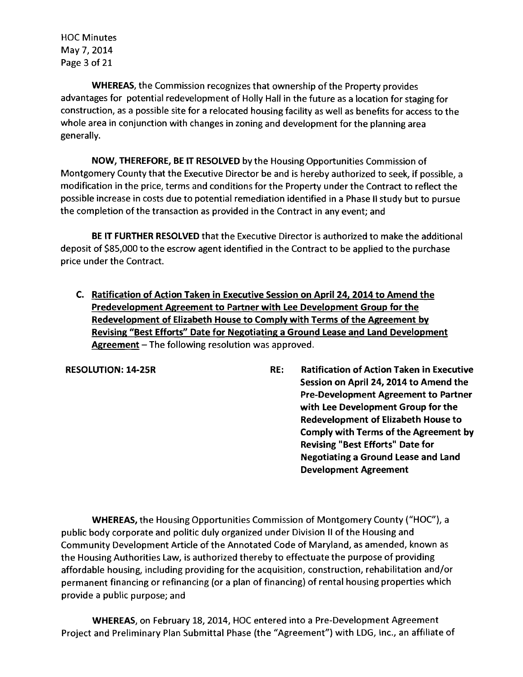HOC Minutes May 7,2014 Page 3 of 21

WHEREAS, the Commission recognizes that ownership of the Property provides advantages for potential redevelopment of Holly Hall in the future as a location for staging for construction, as a possible site for a relocated housing facility as well as benefits for access to the whole area in conjunction with changes in zoning and development for the planning area generally.

NOW, THEREFORE, BE IT RESOLVED by the Housing Opportunities Commission of Montgomery County that the Executive Director be and is hereby authorized to seek, if possible, a modification in the price, terms and conditions for the Property under the Contract to reflect the possible increase in costs due to potential remediation identified in a Phase II study but to pursue the completion of the transaction as provided in the Contract in any event; and

BE IT FURTHER RESOLVED that the Executive Director is authorized to make the additional deposit of \$85,000 to the escrow agent identified in the Contract to be applied to the purchase price under the Contract.

C. Ratification of Action Taken in Executive Session on April 24, 2014 to Amend the Predevelopment Agreement to Partner with Lee Development Group for the Redevelopment of Elizabeth House to Comply with Terms of the Agreement by Revising "Best Efforts" Date for Negotiating a Ground Lease and Land Development Agreement  $-$  The following resolution was approved.

RESOLUTION: 14-25R RE: Ratification of Action Taken in Executive Session on April 24, 2014 to Amend the Pre-Development Agreement to Partner with Lee Development Group for the Redevelopment of Elizabeth House to Comply with Terms of the Agreement by Revising "Best Efforts" Date for Negotiating a Ground Lease and Land Development Agreement

WHEREAS, the Housing Opportunities Commission of Montgomery County ("HOC"), a public body corporate and politic duly organized under Division II ofthe Housing and Community Development Article of the Annotated Code of Maryland, as amended, known as the Housing Authorities Law, is authorized thereby to effectuate the purpose of providing affordable housing, including providing for the acquisition, construction, rehabilitation and/or permanent financing or refinancing (or a plan of financing) of rental housing properties which provide a public purpose; and

WHEREAS, on February 18, 2014, HOC entered into a Pre-Development Agreement Project and Preliminary Plan Submittal Phase (the "Agreement") with LDG, Inc., an affiliate of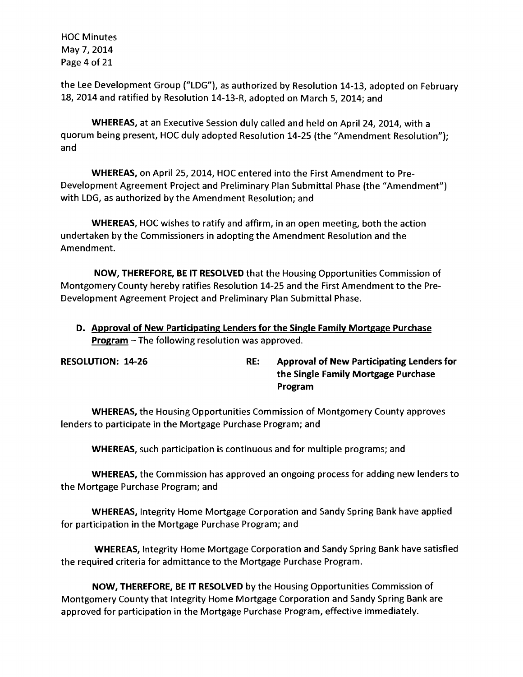HOC Minutes May 7,2014 Page 4 of 21

the Lee Development Group ("LOG"), as authorized by Resolution 14-13, adopted on February 18, 2014 and ratified by Resolution 14-13-R, adopted on March 5, 2014; and

WHEREAS, at an Executive Session duly called and held on April 24, 2014, with a quorum being present, HOC duly adopted Resolution 14-25 (the "Amendment Resolution"); and

WHEREAS, on April 25, 2014, HOC entered into the First Amendment to Pre-Development Agreement Project and Preliminary Plan Submittal Phase (the "Amendment") with LOG, as authorized by the Amendment Resolution; and

WHEREAS, HOC wishes to ratify and affirm, in an open meeting, both the action undertaken by the Commissioners in adopting the Amendment Resolution and the Amendment.

NOW, THEREFORE, BE IT RESOLVED that the Housing Opportunities Commission of Montgomery County hereby ratifies Resolution 14-25 and the First Amendment to the Pre-Development Agreement Project and Preliminary Plan Submittal Phase.

D. Approval of New Participating Lenders for the Single Family Mortgage Purchase Program - The following resolution was approved.

RESOLUTION: 14-26 RE: Approval of New Participating Lenders for the Single Family Mortgage Purchase Program

WHEREAS, the Housing Opportunities Commission of Montgomery County approves lenders to participate in the Mortgage Purchase Program; and

WHEREAS, such participation is continuous and for multiple programs; and

WHEREAS, the Commission has approved an ongoing process for adding new lenders to the Mortgage Purchase Program; and

WHEREAS, Integrity Home Mortgage Corporation and Sandy Spring Bank have applied for participation in the Mortgage Purchase Program; and

WHEREAS, Integrity Home Mortgage Corporation and Sandy Spring Bank have satisfied the required criteria for admittance to the Mortgage Purchase Program.

NOW, THEREFORE, BE IT RESOLVED by the Housing Opportunities Commission of Montgomery County that Integrity Home Mortgage Corporation and Sandy Spring Bank are approved for participation in the Mortgage Purchase Program, effective immediately.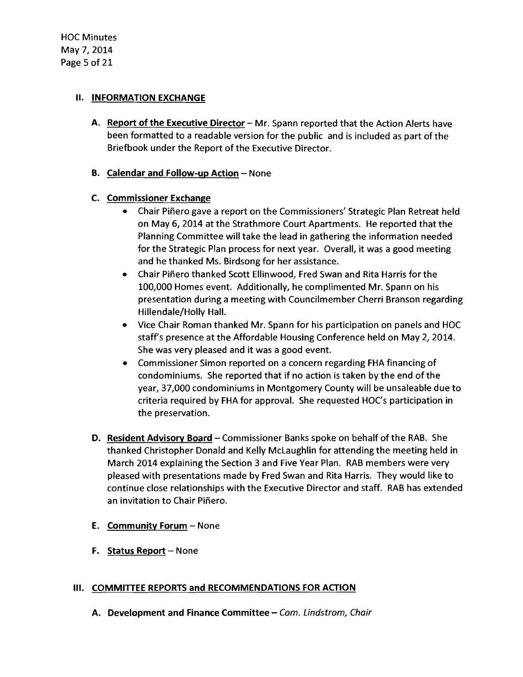#### **II. INFORMATION EXCHANGE**

A. Report of the Executive Director  $-Mr$ . Spann reported that the Action Alerts have been formatted to a readable version for the public and is included as part of the Briefbook under the Report of the Executive Director.

#### B. Calendar and Follow-up Action - None

#### C. Commissioner Exchange

- Chair Piñero gave a report on the Commissioners' Strategic Plan Retreat held on May 6, 2014 at the Strathmore Court Apartments. He reported that the Planning Committee will take the lead in gathering the information needed for the Strategic Plan process for next year. Overall, it was a good meeting and he thanked Ms. Birdsong for her assistance.
- Chair Piñero thanked Scott Ellinwood, Fred Swan and Rita Harris for the 100,000 Homes event. Additionally, he complimented Mr. Spann on his presentation during a meeting with Councilmember Cherri Branson regarding Hillendale/Holly Hall.
- Vice Chair Roman thanked Mr. Spann for his participation on panels and HOC staff's presence at the Affordable Housing Conference held on May 2, 2014. She was very pleased and it was a good event.
- Commissioner Simon reported on a concern regarding FHA financing of condominiums. She reported that if no action is taken by the end of the year, 37,000 condominiums in Montgomery County will be unsaleable due to criteria required by FHA for approval. She requested HOC's participation in the preservation.
- D. Resident Advisory Board Commissioner Banks spoke on behalf of the RAB. She thanked Christopher Donald and Kelly McLaughlin for attending the meeting held in March 2014 explaining the Section 3 and Five Year Plan. RAB members were very pleased with presentations made by Fred Swan and Rita Harris. They would like to continue close relationships with the Executive Director and staff. RAB has extended an invitation to Chair Piñero.
- **E.** Community Forum None
- F. Status Report  $-$  None

#### III. COMMITTEE REPORTS and RECOMMENDATIONS FOR ACTION

A. Development and Finance Committee  $\text{-}$  Com. Lindstrom, Chair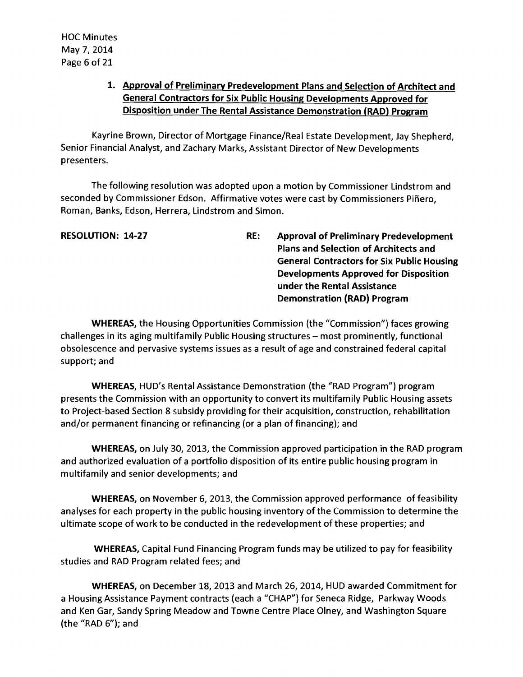# 1. Approval of Preliminary Predevelopment Plans and Selection of Architect and General Contractors for Six Public Housing Developments Approved for Disposition under The Rental Assistance Demonstration (RAD) Program

Kayrine Brown, Director of Mortgage Finance/Real Estate Development, Jay Shepherd, Senior Financial Analyst, and Zachary Marks, Assistant Director of New Developments presenters.

The following resolution was adopted upon a motion by Commissioner Lindstrom and seconded by Commissioner Edson. Affirmative votes were cast by Commissioners Pinero, Roman, Banks, Edson, Herrera, Lindstrom and Simon.

RESOLUTION: 14-27 RE: Approval of Preliminary Predevelopment Plans and Selection of Architects and General Contractors for Six Public Housing Developments Approved for Disposition under the Rental Assistance Demonstration (RAD) Program

WHEREAS, the Housing Opportunities Commission (the "Commission") faces growing challenges in its aging multifamily Public Housing structures - most prominently, functional obsolescence and pervasive systems issues as a result of age and constrained federal capital support; and

WHEREAS, HUD's Rental Assistance Demonstration (the "RAD Program") program presents the Commission with an opportunity to convert its multifamily Public Housing assets to Project-based Section 8 subsidy providing for their acquisition, construction, rehabilitation and/or permanent financing or refinancing (or a plan of financing); and

WHEREAS, on July 30, 2013, the Commission approved participation in the RAD program and authorized evaluation of a portfolio disposition of its entire public housing program in multifamily and senior developments; and

WHEREAS, on November 6, 2013, the Commission approved performance of feasibility analyses for each property in the public housing inventory of the Commission to determine the ultimate scope of work to be conducted in the redevelopment of these properties; and

WHEREAS, Capital Fund Financing Program funds may be utilized to pay for feasibility studies and RAD Program related fees; and

WHEREAS, on December 18, 2013 and March 26, 2014, HUD awarded Commitment for a Housing Assistance Payment contracts (each a "CHAP") for Seneca Ridge, Parkway Woods and Ken Gar, Sandy Spring Meadow and Towne Centre Place Olney, and Washington Square (the "RAD 6"); and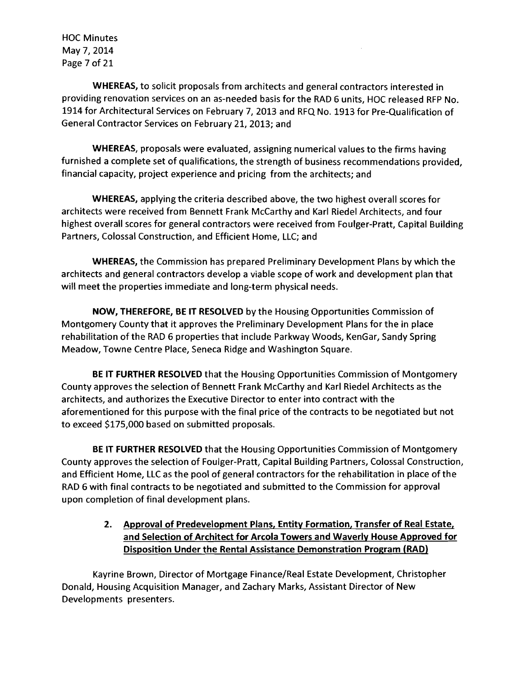HOC Minutes May 7,2014 Page 7 of 21

WHEREAS, to solicit proposals from architects and general contractors interested in providing renovation services on an as-needed basis for the RAD 6 units, HOC released RFP No. 1914 for Architectural Services on February 7, 2013 and RFQ No. 1913 for Pre-Qualification of General Contractor Services on February 21, 2013; and

WHEREAS, proposals were evaluated, assigning numerical values to the firms having furnished a complete set of qualifications, the strength of business recommendations provided, financial capacity, project experience and pricing from the architects; and

WHEREAS, applying the criteria described above, the two highest overall scores for architects were received from Bennett Frank McCarthy and Karl Riedel Architects, and four highest overall scores for general contractors were received from Foulger-Pratt, Capital Building Partners, Colossal Construction, and Efficient Home, LLC; and

WHEREAS, the Commission has prepared Preliminary Development Plans by which the architects and general contractors develop a viable scope of work and development plan that will meet the properties immediate and long-term physical needs.

NOW, THEREFORE, BE IT RESOLVED by the Housing Opportunities Commission of Montgomery County that it approves the Preliminary Development Plans for the in place rehabilitation of the RAD 6 properties that include Parkway Woods, KenGar, Sandy Spring Meadow, Towne Centre Place, Seneca Ridge and Washington Square.

BE IT FURTHER RESOLVED that the Housing Opportunities Commission of Montgomery County approves the selection of Bennett Frank McCarthy and Karl Riedel Architects as the architects, and authorizes the Executive Director to enter into contract with the aforementioned for this purpose with the final price of the contracts to be negotiated but not to exceed \$175,000 based on submitted proposals.

BE IT FURTHER RESOLVED that the Housing Opportunities Commission of Montgomery County approves the selection of Foulger-Pratt, Capital Building Partners, Colossal Construction, and Efficient Home, LLC as the pool of general contractors for the rehabilitation in place of the RAD 6 with final contracts to be negotiated and submitted to the Commission for approval upon completion of final development plans.

# 2. Approval of Predevelopment Plans, Entity Formation, Transfer of Real Estate, and Selection of Architect for Arcola Towers and Waverly House Approved for Disposition Under the Rental Assistance Demonstration Program (RAD)

Kayrine Brown, Director of Mortgage Finance/Real Estate Development, Christopher Donald, Housing Acquisition Manager, and Zachary Marks, Assistant Director of New Developments presenters.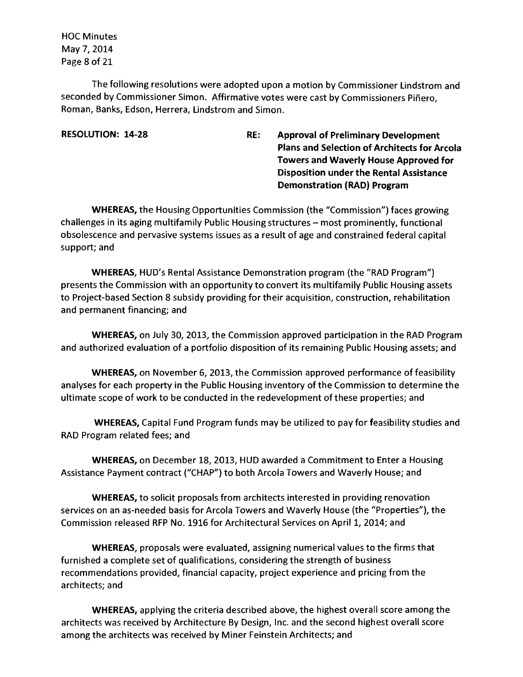HOC Minutes May 7,2014 Page 8 of 21

The following resolutions were adopted upon a motion by Commissioner Lindstrom and seconded by Commissioner Simon. Affirmative votes were cast by Commissioners Piñero, Roman, Banks, Edson, Herrera, Lindstrom and Simon.

RESOLUTION: 14-28 RE: Approval of Preliminary Development Plans and Selection of Architects for Arcola Towers and Waverly House Approved for Disposition under the Rental Assistance Demonstration (RAD) Program

WHEREAS, the Housing Opportunities Commission (the "Commission") faces growing challenges in its aging multifamily Public Housing structures - most prominently, functional obsolescence and pervasive systems issues as a result of age and constrained federal capital support; and

WHEREAS, HUD's Rental Assistance Demonstration program (the "RAD Program") presents the Commission with an opportunity to convert its multifamily Public Housing assets to Project-based Section 8 subsidy providing for their acquisition, construction, rehabilitation and permanent financing; and

WHEREAS, on July 30, 2013, the Commission approved participation in the RAD Program and authorized evaluation of a portfolio disposition of its remaining Public Housing assets; and

WHEREAS, on November 6, 2013, the Commission approved performance of feasibility analyses for each property in the Public Housing inventory of the Commission to determine the ultimate scope of work to be conducted in the redevelopment of these properties; and

WHEREAS, Capital Fund Program funds may be utilized to pay for feasibility studies and RAD Program related fees; and

WHEREAS, on December 18, 2013, HUD awarded a Commitment to Enter a Housing Assistance Payment contract ("CHAP") to both Arcola Towers and Waverly House; and

WHEREAS, to solicit proposals from architects interested in providing renovation services on an as-needed basis for Arcola Towers and Waverly House (the "Properties"), the Commission released RFP No. 1916 for Architectural Services on April 1, 2014; and

WHEREAS, proposals were evaluated, assigning numerical values to the firms that furnished a complete set of qualifications, considering the strength of business recommendations provided, financial capacity, project experience and pricing from the architects; and

WHEREAS, applying the criteria described above, the highest overall score among the architects was received by Architecture By Design, Inc. and the second highest overall score among the architects was received by Miner Feinstein Architects; and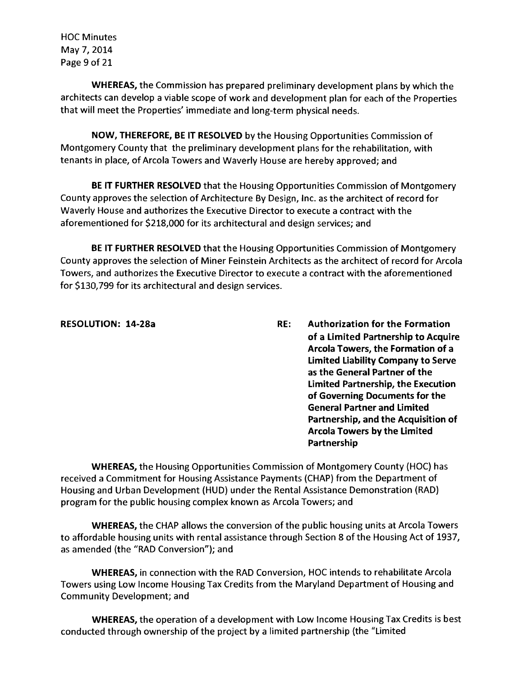HOC Minutes May 7,2014 Page 9 of 21

**WHEREAS,** the Commission has prepared preliminary development plans by which the architects can develop a viable scope of work and development plan for each of the Properties that will meet the Properties' immediate and long-term physical needs.

**NOW, THEREFORE, BE IT RESOLVED** by the Housing Opportunities Commission of Montgomery County that the preliminary development plans for the rehabilitation, with tenants in place, of Arcola Towers and Waverly House are hereby approved; and

**BE IT FURTHER RESOLVED** that the Housing Opportunities Commission of Montgomery County approves the selection of Architecture By Design, Inc. as the architect of record for Waverly House and authorizes the Executive Director to execute a contract with the aforementioned for \$218,000 for its architectural and design services; and

**BE IT FURTHER RESOLVED** that the Housing Opportunities Commission of Montgomery County approves the selection of Miner Feinstein Architects as the architect of record for Arcola Towers, and authorizes the Executive Director to execute a contract with the aforementioned for \$130,799 for its architectural and design services.

**RESOLUTION: 14-28a RE: Authorization for the Formation of a Limited Partnership to Acquire Arcola Towers, the Formation of a Limited Liability Company to Serve as the General Partner of the Limited Partnership, the Execution of Governing Documents for the General Partner and Limited Partnership, and the Acquisition of Arcola Towers by the Limited Partnership** 

**WHEREAS,** the Housing Opportunities Commission of Montgomery County (HOC) has received a Commitment for Housing Assistance Payments (CHAP) from the Department of Housing and Urban Development (HUD) under the Rental Assistance Demonstration (RAD) program for the public housing complex known as Arcola Towers; and

**WHEREAS, the CHAP allows the conversion of the public housing units at Arcola Towers** to affordable housing units with rental assistance through Section 8 of the Housing Act of 1937, as amended (the "RAD Conversion"); and

**WHEREAS,** in connection with the RAD Conversion, HOC intends to rehabilitate Arcola Towers using Low Income Housing Tax Credits from the Maryland Department of Housing and Community Development; and

**WHEREAS,** the operation of a development with Low Income Housing Tax Credits is best conducted through ownership ofthe project by a limited partnership (the "Limited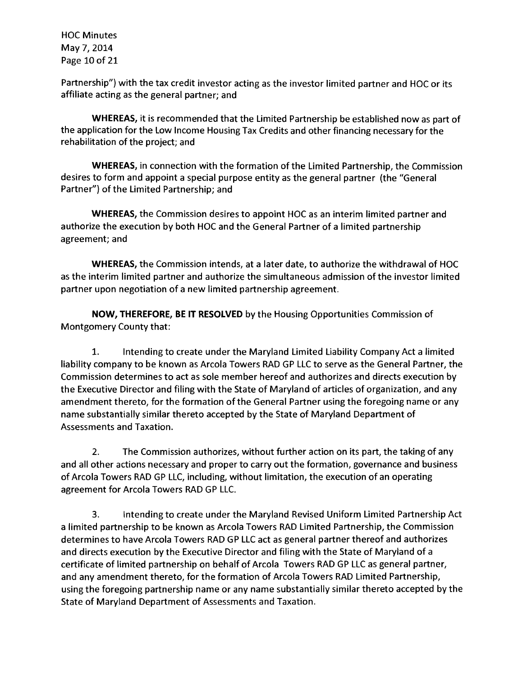HOC Minutes May 7,2014 Page 10 of 21

Partnership") with the tax credit investor acting as the investor limited partner and HOC or its affiliate acting as the general partner; and

**WHEREAS,** it is recommended that the Limited Partnership be established now as part of the application for the Low Income Housing Tax Credits and other financing necessary for the rehabilitation of the project; and

**WHEREAS,** in connection with the formation of the Limited Partnership, the Commission desires to form and appoint a special purpose entity as the general partner (the "General Partner") of the Limited Partnership; and

**WHEREAS,** the Commission desires to appoint HOC as an interim limited partner and authorize the execution by both HOC and the General Partner of a limited partnership agreement; and

**WHEREAS,** the Commission intends, at a later date, to authorize the withdrawal of HOC as the interim limited partner and authorize the simultaneous admission ofthe investor limited partner upon negotiation of a new limited partnership agreement.

**NOW, THEREFORE, BE IT RESOLVED** by the Housing Opportunities Commission of Montgomery County that:

1. Intending to create under the Maryland Limited Liability Company Act a limited liability company to be known as Arcola Towers RAD GP LLC to serve as the General Partner, the Commission determines to act as sole member hereof and authorizes and directs execution by the Executive Director and filing with the State of Maryland of articles of organization, and any amendment thereto, for the formation of the General Partner using the foregoing name or any name substantially similar thereto accepted by the State of Maryland Department of Assessments and Taxation.

2. The Commission authorizes, without further action on its part, the taking of any and all other actions necessary and proper to carry out the formation, governance and business of Arcola Towers RAD GP LLC, including, without limitation, the execution of an operating agreement for Arcola Towers RAD GP LLC.

3. Intending to create under the Maryland Revised Uniform Limited Partnership Act a limited partnership to be known as Arcola Towers RAD Limited Partnership, the Commission determines to have Arcola Towers RAD GP LLC act as general partner thereof and authorizes and directs execution by the Executive Director and filing with the State of Maryland of a certificate of limited partnership on behalf of Arcola Towers RAD GP LLC as general partner, and any amendment thereto, for the formation of Arcola Towers RAD Limited Partnership, using the foregoing partnership name or any name substantially similar thereto accepted by the State of Maryland Department of Assessments and Taxation.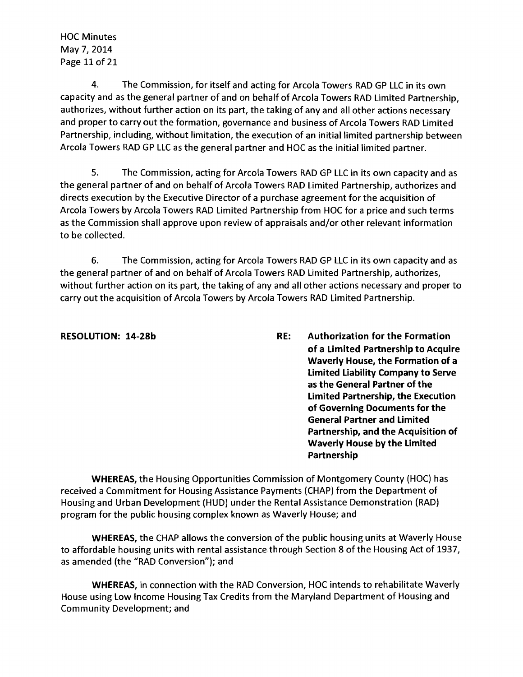HOC Minutes May 7,2014 Page 11 of 21

4. The Commission, for itself and acting for Arcola Towers RAD GP LLC in its own capacity and as the general partner of and on behalf of Arcola Towers RAD Limited Partnership, authorizes, without further action on its part, the taking of any and all other actions necessary and proper to carry out the formation, governance and business of Arcola Towers RAD Limited Partnership, including, without limitation, the execution of an initial limited partnership between Arcola Towers RAD GP LLC as the general partner and HOC as the initial limited partner.

5. The Commission, acting for Arcola Towers RAD GP LLC in its own capacity and as the general partner of and on behalf of Arcola Towers RAD Limited Partnership, authorizes and directs execution by the Executive Director of a purchase agreement for the acquisition of Arcola Towers by Arcola Towers RAD Limited Partnership from HOC for a price and such terms as the Commission shall approve upon review of appraisals and/or other relevant information to be collected.

6. The Commission, acting for Arcola Towers RAD GP LLC in its own capacity and as the general partner of and on behalf of Arcola Towers RAD Limited Partnership, authorizes, without further action on its part, the taking of any and all other actions necessary and proper to carry out the acquisition of Arcola Towers by Arcola Towers RAD Limited Partnership.

RESOLUTION: 14-28b RE: Authorization for the Formation of a Limited Partnership to Acquire Waverly House, the Formation of a Limited Liability Company to Serve as the General Partner of the Limited Partnership, the Execution of Governing Documents for the General Partner and Limited Partnership, and the Acquisition of Waverly House by the Limited Partnership

WHEREAS, the Housing Opportunities Commission of Montgomery County (HOC) has received a Commitment for Housing Assistance Payments (CHAP) from the Department of Housing and Urban Development (HUD) under the Rental Assistance Demonstration (RAD) program for the public housing complex known as Waverly House; and

WHEREAS, the CHAP allows the conversion of the public housing units at Waverly House to affordable housing units with rental assistance through Section 8 of the Housing Act of 1937, as amended (the "RAD Conversion"); and

WHEREAS, in connection with the RAD Conversion, HOC intends to rehabilitate Waverly House using Low Income Housing Tax Credits from the Maryland Department of Housing and Community Development; and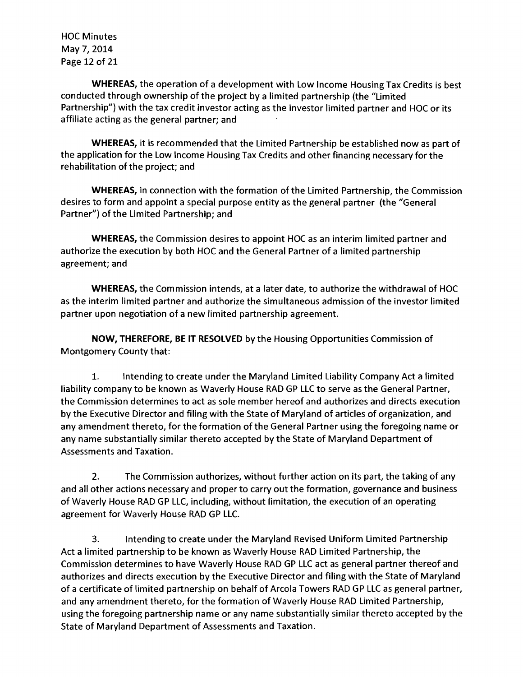HOC Minutes May 7,2014 Page 12 of 21

**WHEREAS,** the operation of a development with Low Income Housing Tax Credits is best conducted through ownership of the project by a limited partnership (the "Limited Partnership") with the tax credit investor acting as the investor limited partner and HOC or its affiliate acting as the general partner; and

**WHEREAS,** it is recommended that the Limited Partnership be established now as part of the application for the Low Income Housing Tax Credits and other financing necessary for the rehabilitation of the project; and

**WHEREAS,** in connection with the formation of the Limited Partnership, the Commission desires to form and appoint a special purpose entity as the general partner (the "General Partner") of the Limited Partnership; and

**WHEREAS,** the Commission desires to appoint HOC as an interim limited partner and authorize the execution by both HOC and the General Partner of a limited partnership agreement; and

**WHEREAS,** the Commission intends, at a later date, to authorize the withdrawal of HOC as the interim limited partner and authorize the simultaneous admission of the investor limited partner upon negotiation of a new limited partnership agreement.

**NOW, THEREFORE, BE IT RESOLVED** by the Housing Opportunities Commission of Montgomery County that:

1. Intending to create under the Maryland Limited Liability Company Act a limited liability company to be known as Waverly House RAD GP LLC to serve as the General Partner, the Commission determines to act as sole member hereof and authorizes and directs execution by the Executive Director and filing with the State of Maryland of articles of organization, and any amendment thereto, for the formation of the General Partner using the foregoing name or any name substantially similar thereto accepted by the State of Maryland Department of Assessments and Taxation.

2. The Commission authorizes, without further action on its part, the taking of any and all other actions necessary and proper to carry out the formation, governance and business of Waverly House RAD GP LLC, including, without limitation, the execution of an operating agreement for Waverly House RAD GP LLC.

3. Intending to create under the Maryland Revised Uniform Limited Partnership Act a limited partnership to be known as Waverly House RAD Limited Partnership, the Commission determines to have Waverly House RAD GP LLC act as general partner thereof and authorizes and directs execution by the Executive Director and filing with the State of Maryland of a certificate of limited partnership on behalf of Arcola Towers RAD GP LLC as general partner, and any amendment thereto, for the formation of Waverly House RAD Limited Partnership, using the foregoing partnership name or any name substantially similar thereto accepted by the State of Maryland Department of Assessments and Taxation.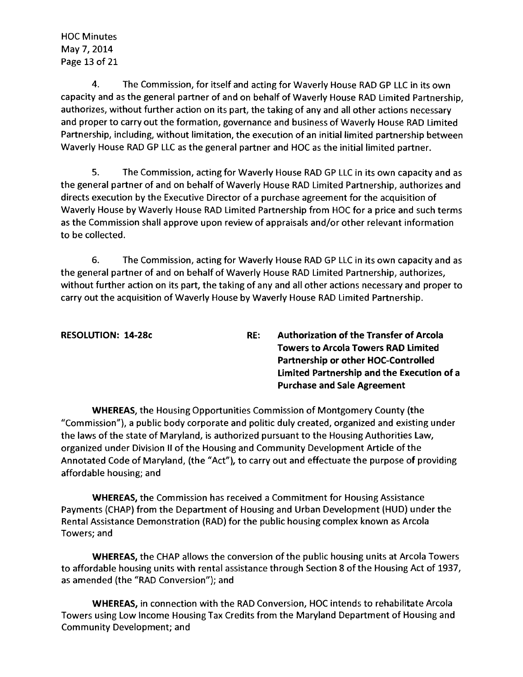HOC Minutes May 7,2014 Page 13 of 21

4. The Commission, for itself and acting for Waverly House RAD GP LLC in its own capacity and as the general partner of and on behalf of Waverly House RAD Limited Partnership, authorizes, without further action on its part, the taking of any and all other actions necessary and proper to carry out the formation, governance and business of Waverly House RAD Limited Partnership, including, without limitation, the execution of an initial limited partnership between Waverly House RAD GP LLC as the general partner and HOC as the initial limited partner.

5. The Commission, acting for Waverly House RAD GP LLC in its own capacity and as the general partner of and on behalf of Waverly House RAD Limited Partnership, authorizes and directs execution by the Executive Director of a purchase agreement for the acquisition of Waverly House by Waverly House RAD Limited Partnership from HOC for a price and such terms as the Commission shall approve upon review of appraisals and/or other relevant information to be collected.

6. The Commission, acting for Waverly House RAD GP LLC in its own capacity and as the general partner of and on behalf of Waverly House RAD Limited Partnership, authorizes, without further action on its part, the taking of any and all other actions necessary and proper to carry out the acquisition of Waverly House by Waverly House RAD Limited Partnership.

| <b>RESOLUTION: 14-28c</b> | RE: | <b>Authorization of the Transfer of Arcola</b> |
|---------------------------|-----|------------------------------------------------|
|                           |     | <b>Towers to Arcola Towers RAD Limited</b>     |
|                           |     | Partnership or other HOC-Controlled            |
|                           |     | Limited Partnership and the Execution of a     |
|                           |     | <b>Purchase and Sale Agreement</b>             |
|                           |     |                                                |

**WHEREAS,** the Housing Opportunities Commission of Montgomery County (the "Commission"), a public body corporate and politic duly created, organized and existing under the laws of the state of Maryland, is authorized pursuant to the Housing Authorities Law, organized under Division II of the Housing and Community Development Article of the Annotated Code of Maryland, (the "Act"), to carry out and effectuate the purpose of providing affordable housing; and

**WHEREAS,** the Commission has received a Commitment for Housing Assistance Payments (CHAP) from the Department of Housing and Urban Development (HUD) under the Rental Assistance Demonstration (RAD) for the public housing complex known as Arcola Towers; and

**WHEREAS, the CHAP allows the conversion of the public housing units at Arcola Towers** to affordable housing units with rental assistance through Section 8 of the Housing Act of 1937, as amended (the "RAD Conversion"); and

**WHEREAS,** in connection with the RAD Conversion, HOC intends to rehabilitate Arcola Towers using Low Income Housing Tax Credits from the Maryland Department of Housing and Community Development; and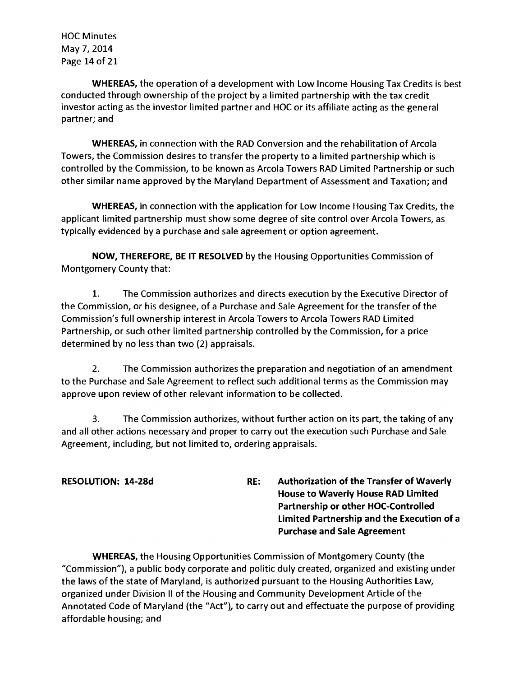HOC Minutes May 7,2014 Page 14 of 21

WHEREAS, the operation of a development with Low Income Housing Tax Credits is best conducted through ownership of the project by a limited partnership with the tax credit investor acting as the investor limited partner and HOC or its affiliate acting as the general partner; and

WHEREAS, in connection with the RAD Conversion and the rehabilitation of Arcola Towers, the Commission desires to transfer the property to a limited partnership which is controlled by the Commission, to be known as Arcola Towers RAD Limited Partnership or such other similar name approved by the Maryland Department of Assessment and Taxation; and

WHEREAS, in connection with the application for Low Income Housing Tax Credits, the applicant limited partnership must show some degree of site control over Arcola Towers, as typically evidenced by a purchase and sale agreement or option agreement.

NOW, THEREFORE, BE IT RESOLVED by the Housing Opportunities Commission of Montgomery County that:

1. The Commission authorizes and directs execution by the Executive Director of the Commission, or his designee, of a Purchase and Sale Agreement for the transfer of the Commission's full ownership interest in Arcola Towers to Arcola Towers RAD Limited Partnership, or such other limited partnership controlled by the Commission, for a price determined by no less than two (2) appraisals.

2. The Commission authorizes the preparation and negotiation of an amendment to the Purchase and Sale Agreement to reflect such additional terms as the Commission may approve upon review of other relevant information to be collected.

3. The Commission authorizes, without further action on its part, the taking of any and all other actions necessary and proper to carry out the execution such Purchase and Sale Agreement, including, but not limited to, ordering appraisals.

RESOLUTION: 14-28d RE: Authorization of the Transfer of Waverly House to Waverly House RAD Limited Partnership or other HOC-Controlled Limited Partnership and the Execution of a Purchase and Sale Agreement

WHEREAS, the Housing Opportunities Commission of Montgomery County (the "Commission"), a public body corporate and politic duly created, organized and existing under the laws of the state of Maryland, is authorized pursuant to the Housing Authorities Law, organized under Division II of the Housing and Community Development Article of the Annotated Code of Maryland (the "Act"), to carry out and effectuate the purpose of providing affordable housing; and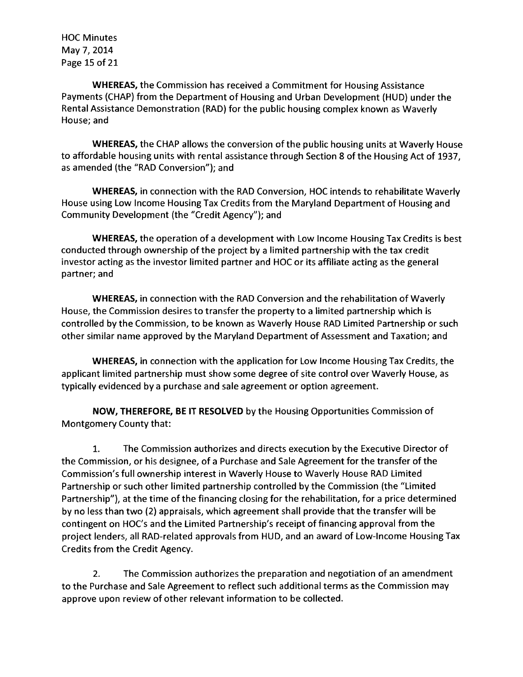HOC Minutes May 7,2014 Page 15 of 21

**WHEREAS,** the Commission has received a Commitment for Housing Assistance Payments (CHAP) from the Department of Housing and Urban Development (HUD) under the Rental Assistance Demonstration (RAD) for the public housing complex known as Waverly House; and

**WHEREAS,** the CHAP allows the conversion of the public housing units at Waverly House to affordable housing units with rental assistance through Section 8 of the Housing Act of 1937, as amended (the "RAD Conversion"); and

**WHEREAS,** in connection with the RAD Conversion, HOC intends to rehabilitate Waverly House using Low Income Housing Tax Credits from the Maryland Department of Housing and Community Development (the "Credit Agency"); and

**WHEREAS,** the operation of a development with Low Income Housing Tax Credits is best conducted through ownership of the project by a limited partnership with the tax credit investor acting as the investor limited partner and HOC or its affiliate acting as the general partner; and

**WHEREAS,** in connection with the RAD Conversion and the rehabilitation of Waverly House, the Commission desires to transfer the property to a limited partnership which is controlled by the Commission, to be known as Waverly House RAD Limited Partnership or such other similar name approved by the Maryland Department of Assessment and Taxation; and

**WHEREAS,** in connection with the application for Low Income Housing Tax Credits, the applicant limited partnership must show some degree of site control over Waverly House, as typically evidenced by a purchase and sale agreement or option agreement.

**NOW, THEREFORE, BE IT RESOLVED** by the Housing Opportunities Commission of Montgomery County that:

1. The Commission authorizes and directs execution by the Executive Director of the Commission, or his designee, of a Purchase and Sale Agreement for the transfer of the Commission's full ownership interest in Waverly House to Waverly House RAD Limited Partnership or such other limited partnership controlled by the Commission (the "Limited Partnership"), at the time of the financing closing for the rehabilitation, for a price determined by no less than two (2) appraisals, which agreement shall provide that the transfer will be contingent on HOC's and the Limited Partnership's receipt of financing approval from the project lenders, all RAD-related approvals from HUD, and an award of Low-Income Housing Tax Credits from the Credit Agency.

2. The Commission authorizes the preparation and negotiation of an amendment to the Purchase and Sale Agreement to reflect such additional terms as the Commission may approve upon review of other relevant information to be collected.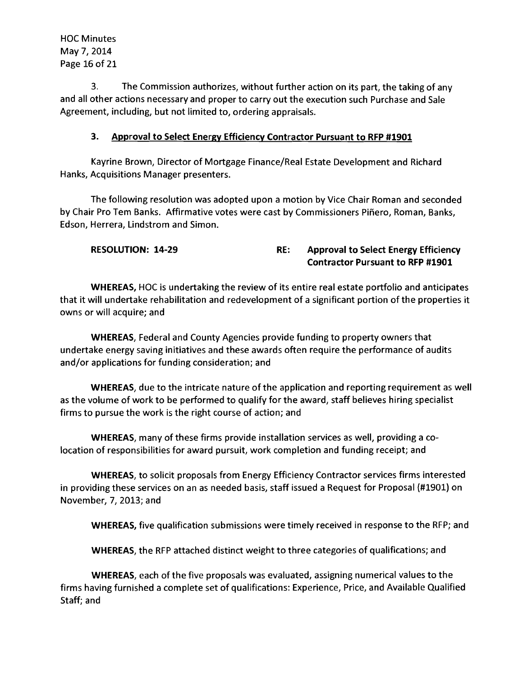HOC Minutes May 7,2014 Page 16 of 21

3. The Commission authorizes, without further action on its part, the taking of any and all other actions necessary and proper to carry out the execution such Purchase and Sale Agreement, including, but not limited to, ordering appraisals.

#### 3. Approval to Select Energy Efficiency Contractor Pursuant to RFP #1901

Kayrine Brown, Director of Mortgage Finance/Real Estate Development and Richard Hanks, Acquisitions Manager presenters.

The following resolution was adopted upon a motion by Vice Chair Roman and seconded by Chair Pro Tem Banks. Affirmative votes were cast by Commissioners Piñero, Roman, Banks, Edson, Herrera, Lindstrom and Simon.

#### RESOLUTION: 14-29 RE: Approval to Select Energy Efficiency Contractor Pursuant to RFP #1901

WHEREAS, HOC is undertaking the review of its entire real estate portfolio and anticipates that it will undertake rehabilitation and redevelopment of a significant portion of the properties it owns or will acquire; and

WHEREAS, Federal and County Agencies provide funding to property owners that undertake energy saving initiatives and these awards often require the performance of audits and/or applications for funding consideration; and

WHEREAS, due to the intricate nature of the application and reporting requirement as well as the volume of work to be performed to qualify for the award, staff believes hiring specialist firms to pursue the work is the right course of action; and

WHEREAS, many of these firms provide installation services as well, providing a colocation of responsibilities for award pursuit, work completion and funding receipt; and

WHEREAS, to solicit proposals from Energy Efficiency Contractor services firms interested in providing these services on an as needed basis, staff issued a Request for Proposal (#1901) on November, 7, 2013; and

WHEREAS, five qualification submissions were timely received in response to the RFP; and

WHEREAS, the RFP attached distinct weight to three categories of qualifications; and

WHEREAS, each of the five proposals was evaluated, assigning numerical values to the firms having furnished a complete set of qualifications: Experience, Price, and Available Qualified Staff; and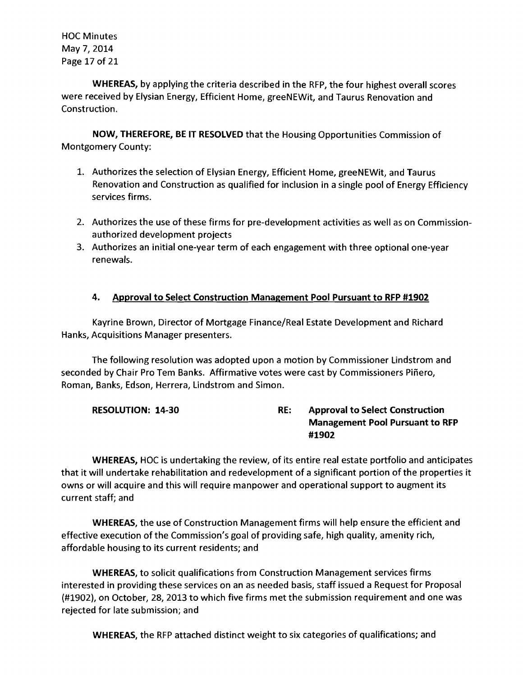HOC Minutes May 7,2014 Page 17 of 21

WHEREAS, by applying the criteria described in the RFP, the four highest overall scores were received by Elysian Energy, Efficient Home, greeNEWit, and Taurus Renovation and Construction.

NOW, THEREFORE, BE IT RESOLVED that the Housing Opportunities Commission of Montgomery County:

- 1. Authorizes the selection of Elysian Energy, Efficient Home, greeNEWit, and Taurus Renovation and Construction as qualified for inclusion in a single pool of Energy Efficiency services firms.
- 2. Authorizes the use of these firms for pre-development activities as well as on Commissionauthorized development projects
- 3. Authorizes an initial one-year term of each engagement with three optional one-year renewals.

# 4. Approval to Select Construction Management Pool Pursuant to RFP #1902

Kayrine Brown, Director of Mortgage Finance/Real Estate Development and Richard Hanks, Acquisitions Manager presenters.

The following resolution was adopted upon a motion by Commissioner Lindstrom and seconded by Chair Pro Tern Banks. Affirmative votes were cast by Commissioners Pinero, Roman, Banks, Edson, Herrera, Lindstrom and Simon.

| <b>RESOLUTION: 14-30</b> | RE: | <b>Approval to Select Construction</b> |
|--------------------------|-----|----------------------------------------|
|                          |     | <b>Management Pool Pursuant to RFP</b> |
|                          |     | #1902                                  |

WHEREAS, HOC is undertaking the review, of its entire real estate portfolio and anticipates that it will undertake rehabilitation and redevelopment of a significant portion of the properties it owns or will acquire and this will require manpower and operational support to augment its current staff; and

WHEREAS, the use of Construction Management firms will help ensure the efficient and effective execution of the Commission's goal of providing safe, high quality, amenity rich, affordable housing to its current residents; and

WHEREAS, to solicit qualifications from Construction Management services firms interested in providing these services on an as needed basis, staff issued a Request for Proposal (#1902), on October, 28, 2013 to which five firms met the submission requirement and one was rejected for late submission; and

WHEREAS, the RFP attached distinct weight to six categories of qualifications; and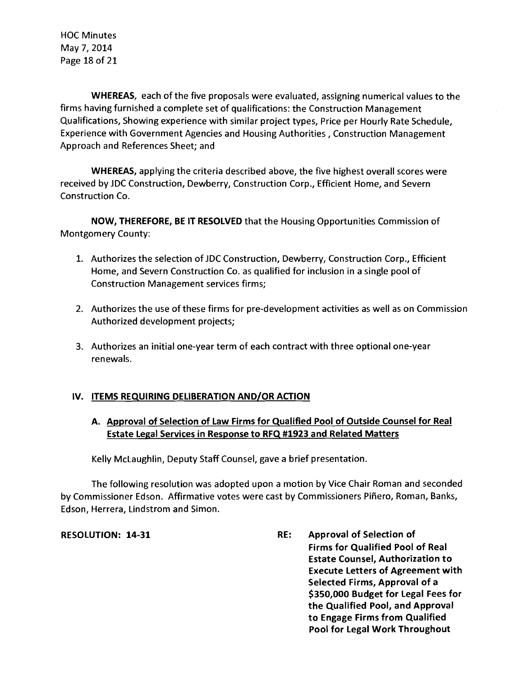HOC Minutes May 7,2014 Page 18 of 21

WHEREAS, each of the five proposals were evaluated, assigning numerical values to the firms having furnished a complete set of qualifications: the Construction Management Qualifications, Showing experience with similar project types, Price per Hourly Rate Schedule, Experience with Government Agencies and Housing Authorities, Construction Management Approach and References Sheet; and

WHEREAS. applying the criteria described above, the five highest overall scores were received by JDC Construction, Dewberry, Construction Corp., Efficient Home, and Severn Construction Co.

NOW. THEREFORE. BE IT RESOLVED that the Housing Opportunities Commission of Montgomery County:

- 1. Authorizes the selection of JDC Construction, Dewberry, Construction Corp., Efficient Home, and Severn Construction Co. as qualified for inclusion in a single pool of Construction Management services firms;
- 2. Authorizes the use of these firms for pre-development activities as well as on Commission Authorized development projects;
- 3. Authorizes an initial one-year term of each contract with three optional one-year renewals.

#### IV. ITEMS REQUIRING DELIBERATION AND/OR ACTION

# A. Approval of Selection of Law Firms for Qualified Pool of Outside Counsel for Real Estate Legal Services in Response to RFQ #1923 and Related Matters

Kelly McLaughlin, Deputy Staff Counsel, gave a brief presentation.

The following resolution was adopted upon a motion by Vice Chair Roman and seconded by Commissioner Edson. Affirmative votes were cast by Commissioners Pinero, Roman, Banks, Edson, Herrera, Lindstrom and Simon.

RESOLUTION: 14-31 RE: Approval of Selection of Firms for Qualified Pool of Real Estate Counsel. Authorization to Execute Letters of Agreement with Selected Firms. Approval of a \$350.000 Budget for Legal Fees for the Qualified Pool. and Approval to Engage Firms from Qualified Pool for Legal Work Throughout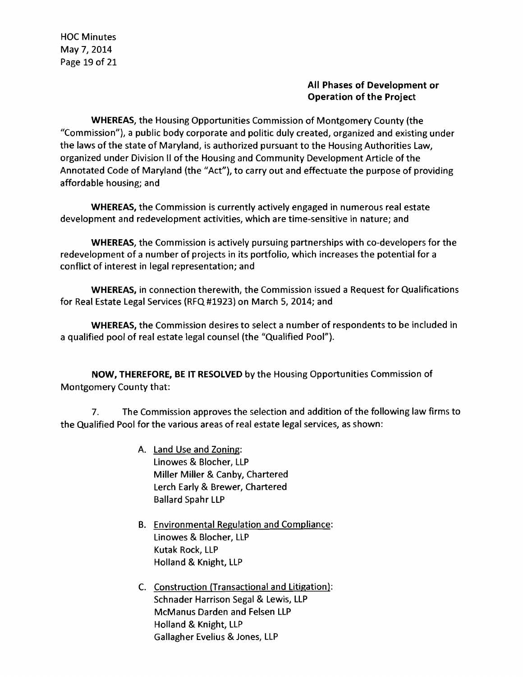HOC Minutes May 7,2014 Page 19 of 21

#### All Phases of Development or Operation of the Project

WHEREAS, the Housing Opportunities Commission of Montgomery County (the "Commission"), a public body corporate and politic duly created, organized and existing under the laws of the state of Maryland, is authorized pursuant to the Housing Authorities Law, organized under Division II of the Housing and Community Development Article of the Annotated Code of Maryland (the "Act"), to carry out and effectuate the purpose of providing affordable housing; and

WHEREAS, the Commission is currently actively engaged in numerous real estate development and redevelopment activities, which are time-sensitive in nature; and

WHEREAS, the Commission is actively pursuing partnerships with co-developers for the redevelopment of a number of projects in its portfolio, which increases the potential for a conflict of interest in legal representation; and

WHEREAS, in connection therewith, the Commission issued a Request for Qualifications for Real Estate Legal Services (RFQ #1923) on March 5, 2014; and

WHEREAS, the Commission desires to select a number of respondents to be included in a qualified pool of real estate legal counsel (the "Qualified Pool").

NOW, THEREFORE, BE IT RESOLVED by the Housing Opportunities Commission of Montgomery County that:

7. The Commission approves the selection and addition ofthe following law firms to the Qualified Pool for the various areas of real estate legal services, as shown:

- A. Land Use and Zoning: Linowes & Blocher, LLP Miller Miller & Canby, Chartered Lerch Early & Brewer, Chartered Ballard Spahr LLP
- B. Environmental Regulation and Compliance: Linowes & Blocher, LLP Kutak Rock, LLP Holland & Knight, LLP
- C. Construction (Transactional and Litigation): Schnader Harrison Segal & Lewis, LLP McManus Darden and Felsen LLP Holland & Knight, LLP Gallagher Evelius & Jones, LLP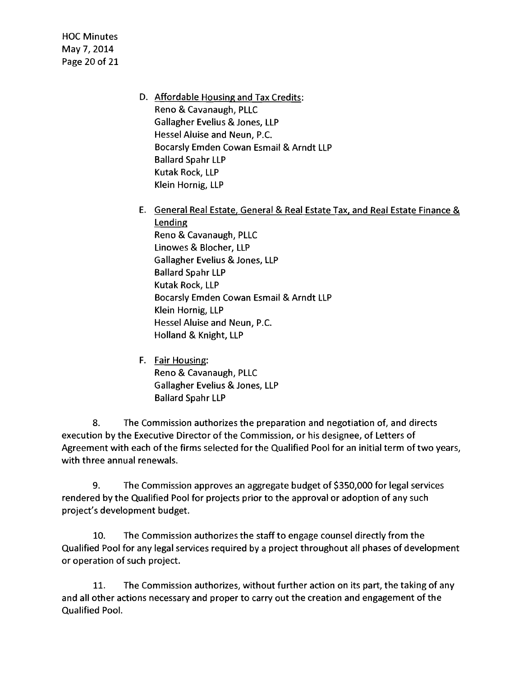- HOC Minutes May 7,2014 Page 20 of 21
- D. Affordable Housing and Tax Credits: Reno & Cavanaugh, PLLC Gallagher Evelius & Jones, LLP Hessel Aluise and Neun, P.C. Bocarsly Emden Cowan Esmail & Arndt LLP Ballard Spahr LLP Kutak Rock, LLP Klein Hornig, LLP
- E. General Real Estate, General & Real Estate Tax, and Real Estate Finance & Lending Reno & Cavanaugh, PLLC Linowes & Blocher, LLP Gallagher Evelius & Jones, LLP Ballard Spahr LLP Kutak Rock, LLP Bocarsly Emden Cowan Esmail & Arndt LLP Klein Hornig, LLP Hessel Aluise and Neun, P.C. Holland & Knight, LLP
- F. Fair Housing: Reno & Cavanaugh, PLLC Gallagher Evelius & Jones, LLP Ballard Spahr LLP

8. The Commission authorizes the preparation and negotiation of, and directs execution by the Executive Director of the Commission, or his designee, of Letters of Agreement with each of the firms selected for the Qualified Pool for an initial term of two years, with three annual renewals.

9. The Commission approves an aggregate budget of \$350,000 for legal services rendered by the Qualified Pool for projects prior to the approval or adoption of any such project's development budget.

10. The Commission authorizes the staff to engage counsel directly from the Qualified Pool for any legal services required by a project throughout all phases of development or operation of such project.

11. The Commission authorizes, without further action on its part, the taking of any and all other actions necessary and proper to carry out the creation and engagement of the Qualified Pool.